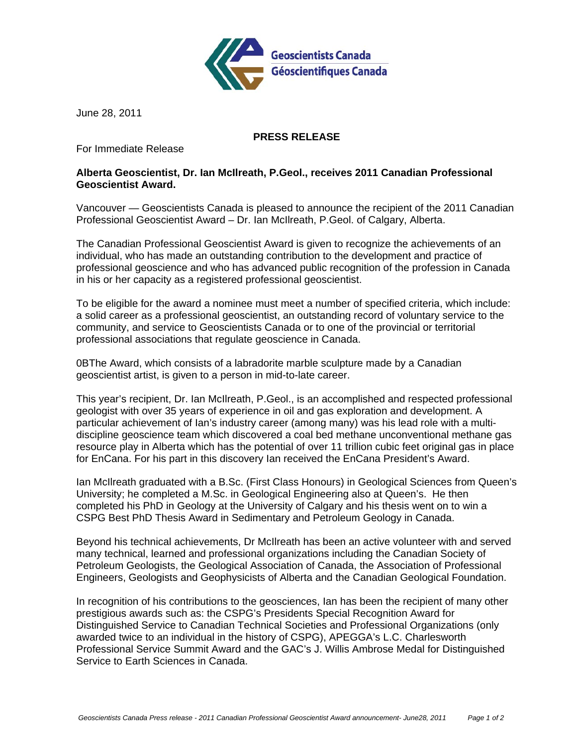

June 28, 2011

## **PRESS RELEASE**

For Immediate Release

## **Alberta Geoscientist, Dr. Ian McIlreath, P.Geol., receives 2011 Canadian Professional Geoscientist Award.**

Vancouver — Geoscientists Canada is pleased to announce the recipient of the 2011 Canadian Professional Geoscientist Award – Dr. Ian McIlreath, P.Geol. of Calgary, Alberta.

The Canadian Professional Geoscientist Award is given to recognize the achievements of an individual, who has made an outstanding contribution to the development and practice of professional geoscience and who has advanced public recognition of the profession in Canada in his or her capacity as a registered professional geoscientist.

To be eligible for the award a nominee must meet a number of specified criteria, which include: a solid career as a professional geoscientist, an outstanding record of voluntary service to the community, and service to Geoscientists Canada or to one of the provincial or territorial professional associations that regulate geoscience in Canada.

0BThe Award, which consists of a labradorite marble sculpture made by a Canadian geoscientist artist, is given to a person in mid-to-late career.

This year's recipient, Dr. Ian McIlreath, P.Geol., is an accomplished and respected professional geologist with over 35 years of experience in oil and gas exploration and development. A particular achievement of Ian's industry career (among many) was his lead role with a multidiscipline geoscience team which discovered a coal bed methane unconventional methane gas resource play in Alberta which has the potential of over 11 trillion cubic feet original gas in place for EnCana. For his part in this discovery Ian received the EnCana President's Award.

Ian McIlreath graduated with a B.Sc. (First Class Honours) in Geological Sciences from Queen's University; he completed a M.Sc. in Geological Engineering also at Queen's. He then completed his PhD in Geology at the University of Calgary and his thesis went on to win a CSPG Best PhD Thesis Award in Sedimentary and Petroleum Geology in Canada.

Beyond his technical achievements, Dr McIlreath has been an active volunteer with and served many technical, learned and professional organizations including the Canadian Society of Petroleum Geologists, the Geological Association of Canada, the Association of Professional Engineers, Geologists and Geophysicists of Alberta and the Canadian Geological Foundation.

In recognition of his contributions to the geosciences, Ian has been the recipient of many other prestigious awards such as: the CSPG's Presidents Special Recognition Award for Distinguished Service to Canadian Technical Societies and Professional Organizations (only awarded twice to an individual in the history of CSPG), APEGGA's L.C. Charlesworth Professional Service Summit Award and the GAC's J. Willis Ambrose Medal for Distinguished Service to Earth Sciences in Canada.